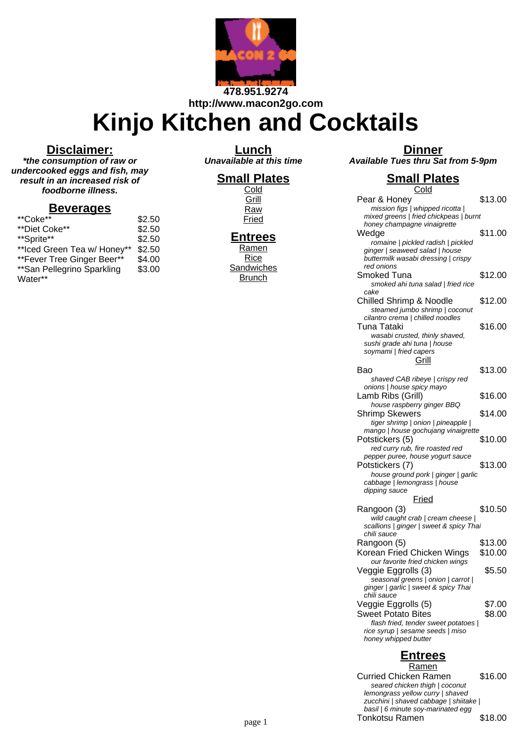

**http://www.macon2go.com**

# **Kinjo Kitchen and Cocktails**

#### **Disclaimer:**

**\*the consumption of raw or undercooked eggs and fish, may result in an increased risk of foodborne illness.**

#### **Beverages**

| **Coke**                     | \$2.50 |
|------------------------------|--------|
| **Diet Coke**                | \$2.50 |
| **Sprite**                   | \$2.50 |
| ** Iced Green Tea w/ Honey** | \$2.50 |
| ** Fever Tree Ginger Beer**  | \$4.00 |
| ** San Pellegrino Sparkling  | \$3.00 |
| Water**                      |        |

**Lunch Unavailable at this time**

### **Small Plates**

**Cold Grill Raw** Fried

### **Entrees**

Ramen **Rice Sandwiches Brunch** 

|                                    | <b>Dinner</b> |  |  |
|------------------------------------|---------------|--|--|
| Available Tues thru Sat from 5-9pm |               |  |  |

## **Small Plates**

| <u>Cold</u>                                                                                                 |         |
|-------------------------------------------------------------------------------------------------------------|---------|
| Pear & Honey<br>mission figs   whipped ricotta                                                              | \$13.00 |
| mixed greens   fried chickpeas   burnt                                                                      |         |
| honey champagne vinaigrette                                                                                 |         |
| Wedge                                                                                                       | \$11.00 |
| romaine   pickled radish   pickled<br>ginger   seaweed salad   house<br>buttermilk wasabi dressing   crispy |         |
| red onions                                                                                                  |         |
| Smoked Tuna                                                                                                 | \$12.00 |
| smoked ahi tuna salad   fried rice                                                                          |         |
| cake                                                                                                        |         |
| <b>Chilled Shrimp &amp; Noodle</b>                                                                          | \$12.00 |
| steamed jumbo shrimp   coconut<br>cilantro crema   chilled noodles                                          |         |
| Tuna Tataki                                                                                                 | \$16.00 |
| wasabi crusted, thinly shaved,                                                                              |         |
| sushi grade ahi tuna   house                                                                                |         |
| soymami   fried capers                                                                                      |         |
| Grill                                                                                                       |         |
| Bao                                                                                                         | \$13.00 |
| shaved CAB ribeye   crispy red                                                                              |         |
| onions   house spicy mayo                                                                                   |         |
| Lamb Ribs (Grill)                                                                                           | \$16.00 |
| house raspberry ginger BBQ                                                                                  |         |
| Shrimp Skewers                                                                                              | \$14.00 |
| tiger shrimp   onion   pineapple                                                                            |         |
| mango   house gochujang vinaigrette                                                                         |         |
| Potstickers (5)                                                                                             | \$10.00 |
| red curry rub, fire roasted red                                                                             |         |
| pepper puree, house yogurt sauce<br>Potstickers (7)                                                         | \$13.00 |
| house ground pork   ginger   garlic                                                                         |         |
| cabbage   lemongrass   house                                                                                |         |
| dipping sauce                                                                                               |         |
| Fried                                                                                                       |         |
| Rangoon (3)                                                                                                 | \$10.50 |
| wild caught crab   cream cheese                                                                             |         |
| scallions   ginger   sweet & spicy Thai                                                                     |         |
| chili sauce                                                                                                 |         |
| Rangoon (5)                                                                                                 | \$13.00 |
| Korean Fried Chicken Wings                                                                                  | \$10.00 |
| our favorite fried chicken wings                                                                            |         |
| Veggie Eggrolls (3)                                                                                         | \$5.50  |
| seasonal greens   onion   carrot                                                                            |         |
| ginger   garlic   sweet & spicy Thai                                                                        |         |
| chili sauce                                                                                                 | \$7.00  |
| Veggie Eggrolls (5)                                                                                         |         |
| <b>Sweet Potato Bites</b>                                                                                   | \$8.00  |
| flash fried, tender sweet potatoes  <br>rice syrup   sesame seeds   miso                                    |         |
| honey whipped butter                                                                                        |         |
|                                                                                                             |         |

# **Entrees**

Ramen Curried Chicken Ramen \$16.00 seared chicken thigh | coconut lemongrass yellow curry | shaved zucchini | shaved cabbage | shiitake | basil | 6 minute soy-marinated egg page 1 **Tonkotsu Ramen** 518.00